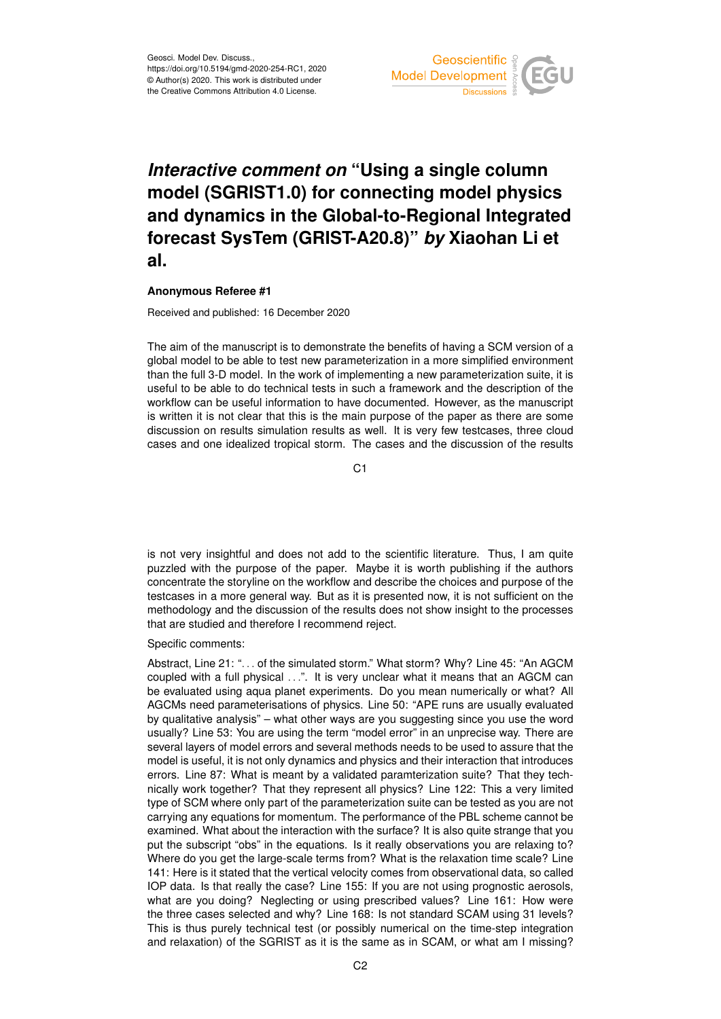

## *Interactive comment on* **"Using a single column model (SGRIST1.0) for connecting model physics and dynamics in the Global-to-Regional Integrated forecast SysTem (GRIST-A20.8)"** *by* **Xiaohan Li et al.**

## **Anonymous Referee #1**

Received and published: 16 December 2020

The aim of the manuscript is to demonstrate the benefits of having a SCM version of a global model to be able to test new parameterization in a more simplified environment than the full 3-D model. In the work of implementing a new parameterization suite, it is useful to be able to do technical tests in such a framework and the description of the workflow can be useful information to have documented. However, as the manuscript is written it is not clear that this is the main purpose of the paper as there are some discussion on results simulation results as well. It is very few testcases, three cloud cases and one idealized tropical storm. The cases and the discussion of the results

C1

is not very insightful and does not add to the scientific literature. Thus, I am quite puzzled with the purpose of the paper. Maybe it is worth publishing if the authors concentrate the storyline on the workflow and describe the choices and purpose of the testcases in a more general way. But as it is presented now, it is not sufficient on the methodology and the discussion of the results does not show insight to the processes that are studied and therefore I recommend reject.

Specific comments:

Abstract, Line 21: ". . . of the simulated storm." What storm? Why? Line 45: "An AGCM coupled with a full physical ...". It is very unclear what it means that an AGCM can be evaluated using aqua planet experiments. Do you mean numerically or what? All AGCMs need parameterisations of physics. Line 50: "APE runs are usually evaluated by qualitative analysis" – what other ways are you suggesting since you use the word usually? Line 53: You are using the term "model error" in an unprecise way. There are several layers of model errors and several methods needs to be used to assure that the model is useful, it is not only dynamics and physics and their interaction that introduces errors. Line 87: What is meant by a validated paramterization suite? That they technically work together? That they represent all physics? Line 122: This a very limited type of SCM where only part of the parameterization suite can be tested as you are not carrying any equations for momentum. The performance of the PBL scheme cannot be examined. What about the interaction with the surface? It is also quite strange that you put the subscript "obs" in the equations. Is it really observations you are relaxing to? Where do you get the large-scale terms from? What is the relaxation time scale? Line 141: Here is it stated that the vertical velocity comes from observational data, so called IOP data. Is that really the case? Line 155: If you are not using prognostic aerosols, what are you doing? Neglecting or using prescribed values? Line 161: How were the three cases selected and why? Line 168: Is not standard SCAM using 31 levels? This is thus purely technical test (or possibly numerical on the time-step integration and relaxation) of the SGRIST as it is the same as in SCAM, or what am I missing?